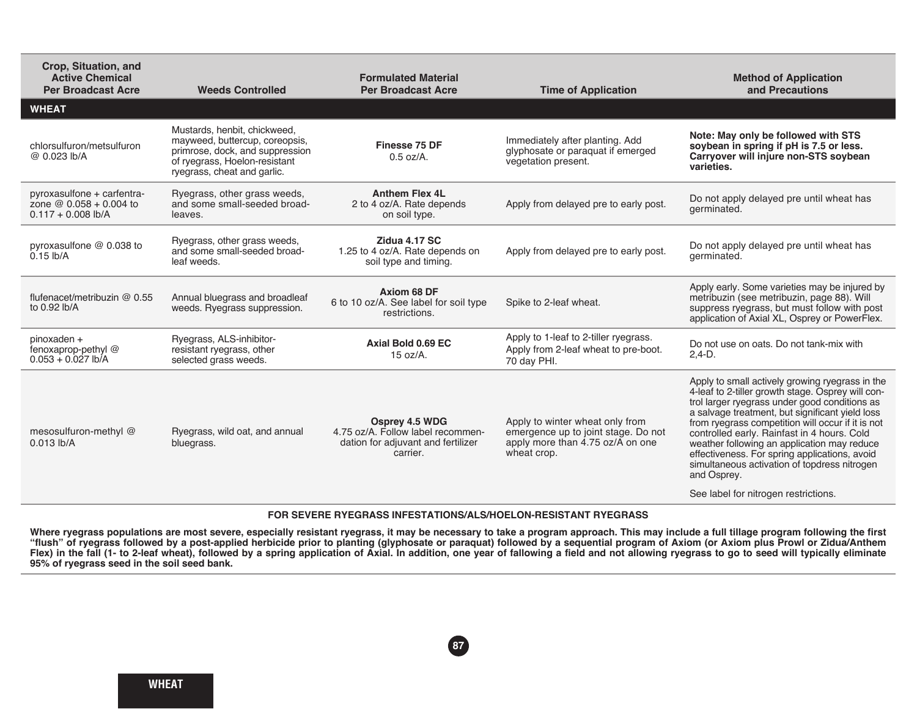| Crop, Situation, and<br><b>Active Chemical</b><br><b>Per Broadcast Acre</b>     | <b>Weeds Controlled</b>                                                                                                                                           | <b>Formulated Material</b><br><b>Per Broadcast Acre</b>                                               | <b>Time of Application</b>                                                                                                | <b>Method of Application</b><br>and Precautions                                                                                                                                                                                                                                                                                                                                                                                                                                                                     |  |  |
|---------------------------------------------------------------------------------|-------------------------------------------------------------------------------------------------------------------------------------------------------------------|-------------------------------------------------------------------------------------------------------|---------------------------------------------------------------------------------------------------------------------------|---------------------------------------------------------------------------------------------------------------------------------------------------------------------------------------------------------------------------------------------------------------------------------------------------------------------------------------------------------------------------------------------------------------------------------------------------------------------------------------------------------------------|--|--|
| <b>WHEAT</b>                                                                    |                                                                                                                                                                   |                                                                                                       |                                                                                                                           |                                                                                                                                                                                                                                                                                                                                                                                                                                                                                                                     |  |  |
| chlorsulfuron/metsulfuron<br>@ 0.023 lb/A                                       | Mustards, henbit, chickweed,<br>mayweed, buttercup, coreopsis,<br>primrose, dock, and suppression<br>of ryegrass, Hoelon-resistant<br>ryegrass, cheat and garlic. | Finesse 75 DF<br>$0.5$ oz/A.                                                                          | Immediately after planting. Add<br>glyphosate or paraquat if emerged<br>vegetation present.                               | Note: May only be followed with STS<br>soybean in spring if pH is 7.5 or less.<br>Carryover will injure non-STS soybean<br>varieties.                                                                                                                                                                                                                                                                                                                                                                               |  |  |
| pyroxasulfone + carfentra-<br>zone $@ 0.058 + 0.004$ to<br>$0.117 + 0.008$ lb/A | Ryegrass, other grass weeds,<br>and some small-seeded broad-<br>leaves.                                                                                           | <b>Anthem Flex 4L</b><br>2 to 4 oz/A. Rate depends<br>on soil type.                                   | Apply from delayed pre to early post.                                                                                     | Do not apply delayed pre until wheat has<br>germinated.                                                                                                                                                                                                                                                                                                                                                                                                                                                             |  |  |
| pyroxasulfone @ 0.038 to<br>$0.15$ lb/A                                         | Ryegrass, other grass weeds,<br>and some small-seeded broad-<br>leaf weeds.                                                                                       | Zidua 4.17 SC<br>1.25 to 4 oz/A. Rate depends on<br>soil type and timing.                             | Apply from delayed pre to early post.                                                                                     | Do not apply delayed pre until wheat has<br>germinated.                                                                                                                                                                                                                                                                                                                                                                                                                                                             |  |  |
| flufenacet/metribuzin @ 0.55<br>to 0.92 lb/A                                    | Annual bluegrass and broadleaf<br>weeds. Ryegrass suppression.                                                                                                    | Axiom 68 DF<br>6 to 10 oz/A. See label for soil type<br>restrictions.                                 | Spike to 2-leaf wheat.                                                                                                    | Apply early. Some varieties may be injured by<br>metribuzin (see metribuzin, page 88). Will<br>suppress ryegrass, but must follow with post<br>application of Axial XL, Osprey or PowerFlex.                                                                                                                                                                                                                                                                                                                        |  |  |
| pinoxaden +<br>fenoxaprop-pethyl@<br>$0.053 + 0.027$ lb/A                       | Ryegrass, ALS-inhibitor-<br>resistant ryegrass, other<br>selected grass weeds.                                                                                    | Axial Bold 0.69 EC<br>15 oz/A.                                                                        | Apply to 1-leaf to 2-tiller ryegrass.<br>Apply from 2-leaf wheat to pre-boot.<br>70 day PHI.                              | Do not use on oats. Do not tank-mix with<br>$2.4-D.$                                                                                                                                                                                                                                                                                                                                                                                                                                                                |  |  |
| mesosulfuron-methyl @<br>$0.013$ lb/A                                           | Ryegrass, wild oat, and annual<br>bluegrass.                                                                                                                      | Osprey 4.5 WDG<br>4.75 oz/A. Follow label recommen-<br>dation for adiuvant and fertilizer<br>carrier. | Apply to winter wheat only from<br>emergence up to joint stage. Do not<br>apply more than 4.75 oz/A on one<br>wheat crop. | Apply to small actively growing ryegrass in the<br>4-leaf to 2-tiller growth stage. Osprey will con-<br>trol larger ryegrass under good conditions as<br>a salvage treatment, but significant yield loss<br>from ryegrass competition will occur if it is not<br>controlled early. Rainfast in 4 hours. Cold<br>weather following an application may reduce<br>effectiveness. For spring applications, avoid<br>simultaneous activation of topdress nitrogen<br>and Osprey.<br>See label for nitrogen restrictions. |  |  |
|                                                                                 |                                                                                                                                                                   |                                                                                                       |                                                                                                                           |                                                                                                                                                                                                                                                                                                                                                                                                                                                                                                                     |  |  |
| FOR SEVERE RYEGRASS INFESTATIONS/ALS/HOELON-RESISTANT RYEGRASS                  |                                                                                                                                                                   |                                                                                                       |                                                                                                                           |                                                                                                                                                                                                                                                                                                                                                                                                                                                                                                                     |  |  |

## Where ryegrass populations are most severe, especially resistant ryegrass, it may be necessary to take a program approach. This may include a full tillage program following the first **"flush" of ryegrass followed by a post-applied herbicide prior to planting (glyphosate or paraquat) followed by a sequential program of Axiom (or Axiom plus Prowl or Zidua/Anthem**

**87**

**Flex) in the fall (1- to 2-leaf wheat), followed by a spring application of Axial. In addition, one year of fallowing a field and not allowing ryegrass to go to seed will typically eliminate 95% of ryegrass seed in the soil seed bank.**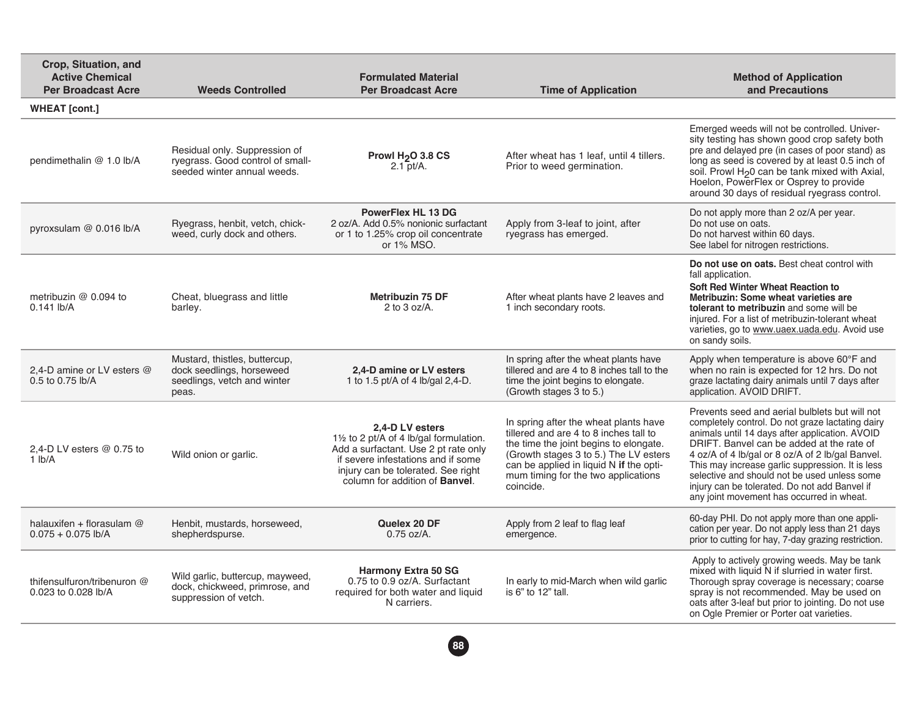| Crop, Situation, and<br><b>Active Chemical</b><br><b>Per Broadcast Acre</b> | <b>Weeds Controlled</b>                                                                            | <b>Formulated Material</b><br><b>Per Broadcast Acre</b>                                                                                                                                                                  | <b>Time of Application</b>                                                                                                                                                                                                                                        | <b>Method of Application</b><br>and Precautions                                                                                                                                                                                                                                                                                                                                                                                                         |
|-----------------------------------------------------------------------------|----------------------------------------------------------------------------------------------------|--------------------------------------------------------------------------------------------------------------------------------------------------------------------------------------------------------------------------|-------------------------------------------------------------------------------------------------------------------------------------------------------------------------------------------------------------------------------------------------------------------|---------------------------------------------------------------------------------------------------------------------------------------------------------------------------------------------------------------------------------------------------------------------------------------------------------------------------------------------------------------------------------------------------------------------------------------------------------|
| <b>WHEAT</b> [cont.]                                                        |                                                                                                    |                                                                                                                                                                                                                          |                                                                                                                                                                                                                                                                   |                                                                                                                                                                                                                                                                                                                                                                                                                                                         |
| pendimethalin @ 1.0 lb/A                                                    | Residual only. Suppression of<br>ryegrass. Good control of small-<br>seeded winter annual weeds.   | Prowl H <sub>2</sub> O 3.8 CS<br>$2.1$ pt/A.                                                                                                                                                                             | After wheat has 1 leaf, until 4 tillers.<br>Prior to weed germination.                                                                                                                                                                                            | Emerged weeds will not be controlled. Univer-<br>sity testing has shown good crop safety both<br>pre and delayed pre (in cases of poor stand) as<br>long as seed is covered by at least 0.5 inch of<br>soil. Prowl H <sub>2</sub> 0 can be tank mixed with Axial,<br>Hoelon, PowerFlex or Osprey to provide<br>around 30 days of residual ryegrass control.                                                                                             |
| pyroxsulam @ 0.016 lb/A                                                     | Ryegrass, henbit, vetch, chick-<br>weed, curly dock and others.                                    | PowerFlex HL 13 DG<br>2 oz/A. Add 0.5% nonionic surfactant<br>or 1 to 1.25% crop oil concentrate<br>or 1% MSO.                                                                                                           | Apply from 3-leaf to joint, after<br>ryegrass has emerged.                                                                                                                                                                                                        | Do not apply more than 2 oz/A per year.<br>Do not use on oats.<br>Do not harvest within 60 days.<br>See label for nitrogen restrictions.                                                                                                                                                                                                                                                                                                                |
| metribuzin @ 0.094 to<br>$0.141$ lb/A                                       | Cheat, bluegrass and little<br>barley.                                                             | <b>Metribuzin 75 DF</b><br>2 to $3$ oz/A.                                                                                                                                                                                | After wheat plants have 2 leaves and<br>1 inch secondary roots.                                                                                                                                                                                                   | Do not use on oats. Best cheat control with<br>fall application.<br>Soft Red Winter Wheat Reaction to<br>Metribuzin: Some wheat varieties are<br>tolerant to metribuzin and some will be<br>injured. For a list of metribuzin-tolerant wheat<br>varieties, go to www.uaex.uada.edu. Avoid use<br>on sandy soils.                                                                                                                                        |
| 2.4-D amine or LV esters @<br>0.5 to 0.75 lb/A                              | Mustard, thistles, buttercup,<br>dock seedlings, horseweed<br>seedlings, vetch and winter<br>peas. | 2.4-D amine or LV esters<br>1 to 1.5 pt/A of 4 lb/gal 2,4-D.                                                                                                                                                             | In spring after the wheat plants have<br>tillered and are 4 to 8 inches tall to the<br>time the joint begins to elongate.<br>(Growth stages 3 to 5.)                                                                                                              | Apply when temperature is above 60°F and<br>when no rain is expected for 12 hrs. Do not<br>graze lactating dairy animals until 7 days after<br>application. AVOID DRIFT.                                                                                                                                                                                                                                                                                |
| 2,4-D LV esters @ 0.75 to<br>$1$ lb/A                                       | Wild onion or garlic.                                                                              | 2.4-D LV esters<br>11/2 to 2 pt/A of 4 lb/gal formulation.<br>Add a surfactant. Use 2 pt rate only<br>if severe infestations and if some<br>injury can be tolerated. See right<br>column for addition of <b>Banvel</b> . | In spring after the wheat plants have<br>tillered and are 4 to 8 inches tall to<br>the time the joint begins to elongate.<br>(Growth stages 3 to 5.) The LV esters<br>can be applied in liquid N if the opti-<br>mum timing for the two applications<br>coincide. | Prevents seed and aerial bulblets but will not<br>completely control. Do not graze lactating dairy<br>animals until 14 days after application. AVOID<br>DRIFT. Banvel can be added at the rate of<br>4 oz/A of 4 lb/gal or 8 oz/A of 2 lb/gal Banvel.<br>This may increase garlic suppression. It is less<br>selective and should not be used unless some<br>injury can be tolerated. Do not add Banvel if<br>any joint movement has occurred in wheat. |
| halauxifen + florasulam $@$<br>$0.075 + 0.075$ lb/A                         | Henbit, mustards, horseweed,<br>shepherdspurse.                                                    | Quelex 20 DF<br>$0.75$ oz/A.                                                                                                                                                                                             | Apply from 2 leaf to flag leaf<br>emergence.                                                                                                                                                                                                                      | 60-day PHI. Do not apply more than one appli-<br>cation per year. Do not apply less than 21 days<br>prior to cutting for hay, 7-day grazing restriction.                                                                                                                                                                                                                                                                                                |
| thifensulfuron/tribenuron @<br>0.023 to 0.028 lb/A                          | Wild garlic, buttercup, mayweed,<br>dock, chickweed, primrose, and<br>suppression of vetch.        | <b>Harmony Extra 50 SG</b><br>0.75 to 0.9 oz/A. Surfactant<br>required for both water and liquid<br>N carriers.                                                                                                          | In early to mid-March when wild garlic<br>is 6" to 12" tall.                                                                                                                                                                                                      | Apply to actively growing weeds. May be tank<br>mixed with liquid N if slurried in water first.<br>Thorough spray coverage is necessary; coarse<br>spray is not recommended. May be used on<br>oats after 3-leaf but prior to jointing. Do not use<br>on Ogle Premier or Porter oat varieties.                                                                                                                                                          |

**88**